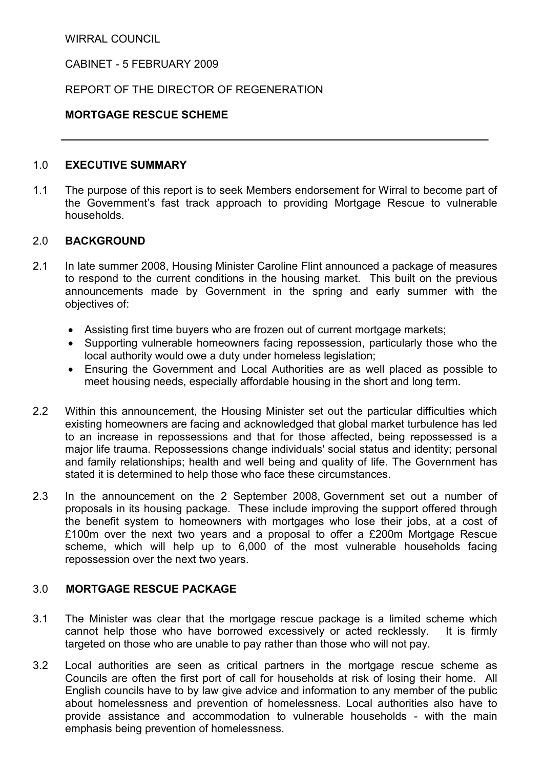WIRRAL COUNCIL

CABINET - 5 FEBRUARY 2009

REPORT OF THE DIRECTOR OF REGENERATION

#### MORTGAGE RESCUE SCHEME

## 1.0 EXECUTIVE SUMMARY

1.1 The purpose of this report is to seek Members endorsement for Wirral to become part of the Government's fast track approach to providing Mortgage Rescue to vulnerable households.

#### 2.0 BACKGROUND

- 2.1 In late summer 2008, Housing Minister Caroline Flint announced a package of measures to respond to the current conditions in the housing market. This built on the previous announcements made by Government in the spring and early summer with the objectives of:
	- Assisting first time buyers who are frozen out of current mortgage markets;
	- Supporting vulnerable homeowners facing repossession, particularly those who the local authority would owe a duty under homeless legislation;
	- Ensuring the Government and Local Authorities are as well placed as possible to meet housing needs, especially affordable housing in the short and long term.
- 2.2 Within this announcement, the Housing Minister set out the particular difficulties which existing homeowners are facing and acknowledged that global market turbulence has led to an increase in repossessions and that for those affected, being repossessed is a major life trauma. Repossessions change individuals' social status and identity; personal and family relationships; health and well being and quality of life. The Government has stated it is determined to help those who face these circumstances.
- 2.3 In the announcement on the 2 September 2008, Government set out a number of proposals in its housing package. These include improving the support offered through the benefit system to homeowners with mortgages who lose their jobs, at a cost of £100m over the next two years and a proposal to offer a £200m Mortgage Rescue scheme, which will help up to 6,000 of the most vulnerable households facing repossession over the next two years.

## 3.0 MORTGAGE RESCUE PACKAGE

- 3.1 The Minister was clear that the mortgage rescue package is a limited scheme which cannot help those who have borrowed excessively or acted recklessly. It is firmly targeted on those who are unable to pay rather than those who will not pay.
- 3.2 Local authorities are seen as critical partners in the mortgage rescue scheme as Councils are often the first port of call for households at risk of losing their home. All English councils have to by law give advice and information to any member of the public about homelessness and prevention of homelessness. Local authorities also have to provide assistance and accommodation to vulnerable households - with the main emphasis being prevention of homelessness.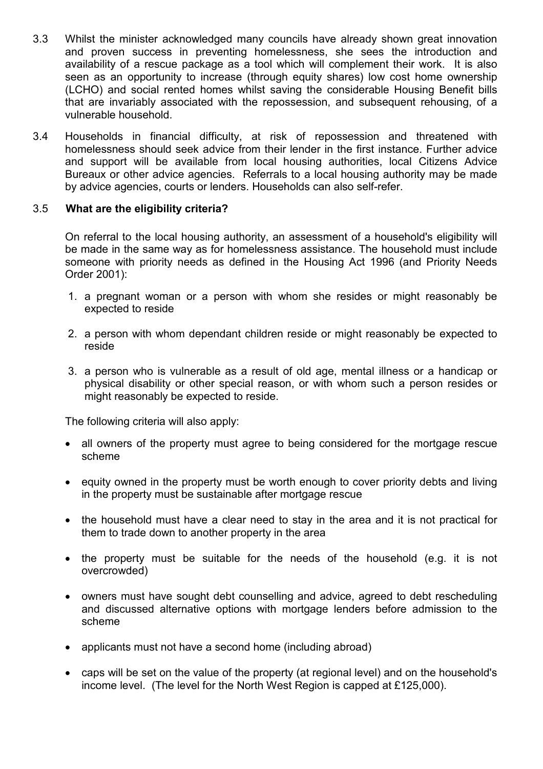- 3.3 Whilst the minister acknowledged many councils have already shown great innovation and proven success in preventing homelessness, she sees the introduction and availability of a rescue package as a tool which will complement their work. It is also seen as an opportunity to increase (through equity shares) low cost home ownership (LCHO) and social rented homes whilst saving the considerable Housing Benefit bills that are invariably associated with the repossession, and subsequent rehousing, of a vulnerable household.
- 3.4 Households in financial difficulty, at risk of repossession and threatened with homelessness should seek advice from their lender in the first instance. Further advice and support will be available from local housing authorities, local Citizens Advice Bureaux or other advice agencies. Referrals to a local housing authority may be made by advice agencies, courts or lenders. Households can also self-refer.

#### 3.5 What are the eligibility criteria?

On referral to the local housing authority, an assessment of a household's eligibility will be made in the same way as for homelessness assistance. The household must include someone with priority needs as defined in the Housing Act 1996 (and Priority Needs Order 2001):

- 1. a pregnant woman or a person with whom she resides or might reasonably be expected to reside
- 2. a person with whom dependant children reside or might reasonably be expected to reside
- 3. a person who is vulnerable as a result of old age, mental illness or a handicap or physical disability or other special reason, or with whom such a person resides or might reasonably be expected to reside.

The following criteria will also apply:

- all owners of the property must agree to being considered for the mortgage rescue scheme
- equity owned in the property must be worth enough to cover priority debts and living in the property must be sustainable after mortgage rescue
- the household must have a clear need to stay in the area and it is not practical for them to trade down to another property in the area
- the property must be suitable for the needs of the household (e.g. it is not overcrowded)
- owners must have sought debt counselling and advice, agreed to debt rescheduling and discussed alternative options with mortgage lenders before admission to the scheme
- applicants must not have a second home (including abroad)
- caps will be set on the value of the property (at regional level) and on the household's income level. (The level for the North West Region is capped at £125,000).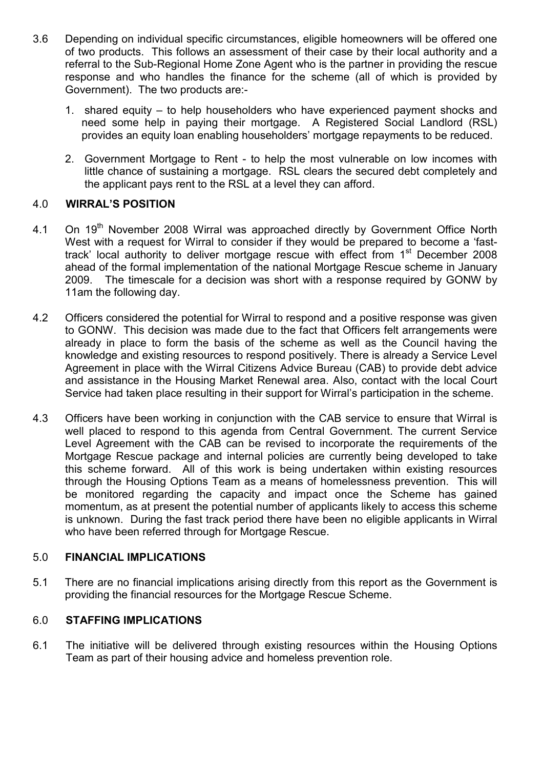- 3.6 Depending on individual specific circumstances, eligible homeowners will be offered one of two products. This follows an assessment of their case by their local authority and a referral to the Sub-Regional Home Zone Agent who is the partner in providing the rescue response and who handles the finance for the scheme (all of which is provided by Government). The two products are:-
	- 1. shared equity to help householders who have experienced payment shocks and need some help in paying their mortgage. A Registered Social Landlord (RSL) provides an equity loan enabling householders' mortgage repayments to be reduced.
	- 2. Government Mortgage to Rent to help the most vulnerable on low incomes with little chance of sustaining a mortgage. RSL clears the secured debt completely and the applicant pays rent to the RSL at a level they can afford.

## 4.0 WIRRAL'S POSITION

- 4.1 On 19<sup>th</sup> November 2008 Wirral was approached directly by Government Office North West with a request for Wirral to consider if they would be prepared to become a 'fasttrack' local authority to deliver mortgage rescue with effect from 1<sup>st</sup> December 2008 ahead of the formal implementation of the national Mortgage Rescue scheme in January 2009. The timescale for a decision was short with a response required by GONW by 11am the following day.
- 4.2 Officers considered the potential for Wirral to respond and a positive response was given to GONW. This decision was made due to the fact that Officers felt arrangements were already in place to form the basis of the scheme as well as the Council having the knowledge and existing resources to respond positively. There is already a Service Level Agreement in place with the Wirral Citizens Advice Bureau (CAB) to provide debt advice and assistance in the Housing Market Renewal area. Also, contact with the local Court Service had taken place resulting in their support for Wirral's participation in the scheme.
- 4.3 Officers have been working in conjunction with the CAB service to ensure that Wirral is well placed to respond to this agenda from Central Government. The current Service Level Agreement with the CAB can be revised to incorporate the requirements of the Mortgage Rescue package and internal policies are currently being developed to take this scheme forward. All of this work is being undertaken within existing resources through the Housing Options Team as a means of homelessness prevention. This will be monitored regarding the capacity and impact once the Scheme has gained momentum, as at present the potential number of applicants likely to access this scheme is unknown. During the fast track period there have been no eligible applicants in Wirral who have been referred through for Mortgage Rescue.

#### 5.0 FINANCIAL IMPLICATIONS

5.1 There are no financial implications arising directly from this report as the Government is providing the financial resources for the Mortgage Rescue Scheme.

# 6.0 STAFFING IMPLICATIONS

6.1 The initiative will be delivered through existing resources within the Housing Options Team as part of their housing advice and homeless prevention role.